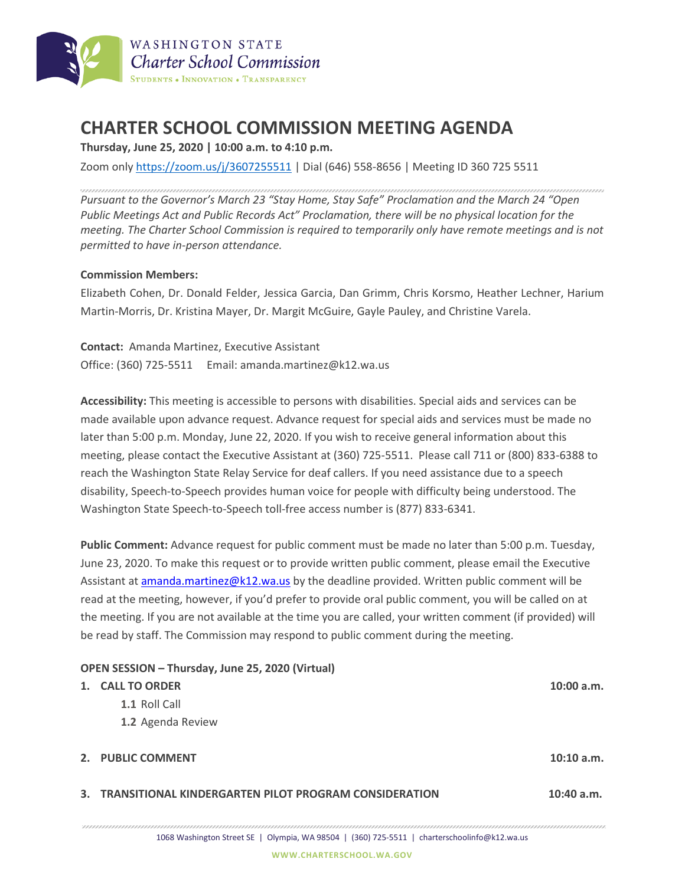

## **CHARTER SCHOOL COMMISSION MEETING AGENDA**

**Thursday, June 25, 2020 | 10:00 a.m. to 4:10 p.m.**

Zoom only <https://zoom.us/j/3607255511> | Dial (646) 558-8656 | Meeting ID 360 725 5511

*Pursuant to the Governor's March 23 "Stay Home, Stay Safe" Proclamation and the March 24 "Open Public Meetings Act and Public Records Act" Proclamation, there will be no physical location for the meeting. The Charter School Commission is required to temporarily only have remote meetings and is not permitted to have in-person attendance.*

## **Commission Members:**

Elizabeth Cohen, Dr. Donald Felder, Jessica Garcia, Dan Grimm, Chris Korsmo, Heather Lechner, Harium Martin-Morris, Dr. Kristina Mayer, Dr. Margit McGuire, Gayle Pauley, and Christine Varela.

**Contact:** Amanda Martinez, Executive Assistant Office: (360) 725-5511 Email: amanda.martinez@k12.wa.us

**Accessibility:** This meeting is accessible to persons with disabilities. Special aids and services can be made available upon advance request. Advance request for special aids and services must be made no later than 5:00 p.m. Monday, June 22, 2020. If you wish to receive general information about this meeting, please contact the Executive Assistant at (360) 725-5511. Please call 711 or (800) 833-6388 to reach the Washington State Relay Service for deaf callers. If you need assistance due to a speech disability, Speech-to-Speech provides human voice for people with difficulty being understood. The Washington State Speech-to-Speech toll-free access number is (877) 833-6341.

**Public Comment:** Advance request for public comment must be made no later than 5:00 p.m. Tuesday, June 23, 2020. To make this request or to provide written public comment, please email the Executive Assistant at [amanda.martinez@k12.wa.us](mailto:amanda.martinez@k12.wa.us) by the deadline provided. Written public comment will be read at the meeting, however, if you'd prefer to provide oral public comment, you will be called on at the meeting. If you are not available at the time you are called, your written comment (if provided) will be read by staff. The Commission may respond to public comment during the meeting.

| OPEN SESSION - Thursday, June 25, 2020 (Virtual) |                                                          |              |  |  |
|--------------------------------------------------|----------------------------------------------------------|--------------|--|--|
|                                                  | 1. CALL TO ORDER                                         | $10:00$ a.m. |  |  |
|                                                  | 1.1 Roll Call                                            |              |  |  |
|                                                  | 1.2 Agenda Review                                        |              |  |  |
|                                                  |                                                          |              |  |  |
|                                                  | 2. PUBLIC COMMENT                                        | 10:10 a.m.   |  |  |
|                                                  |                                                          |              |  |  |
|                                                  | 3. TRANSITIONAL KINDERGARTEN PILOT PROGRAM CONSIDERATION | $10:40$ a.m. |  |  |
|                                                  |                                                          |              |  |  |
|                                                  |                                                          |              |  |  |

1068 Washington Street SE | Olympia, WA 98504 | (360) 725-5511 | charterschoolinfo@k12.wa.us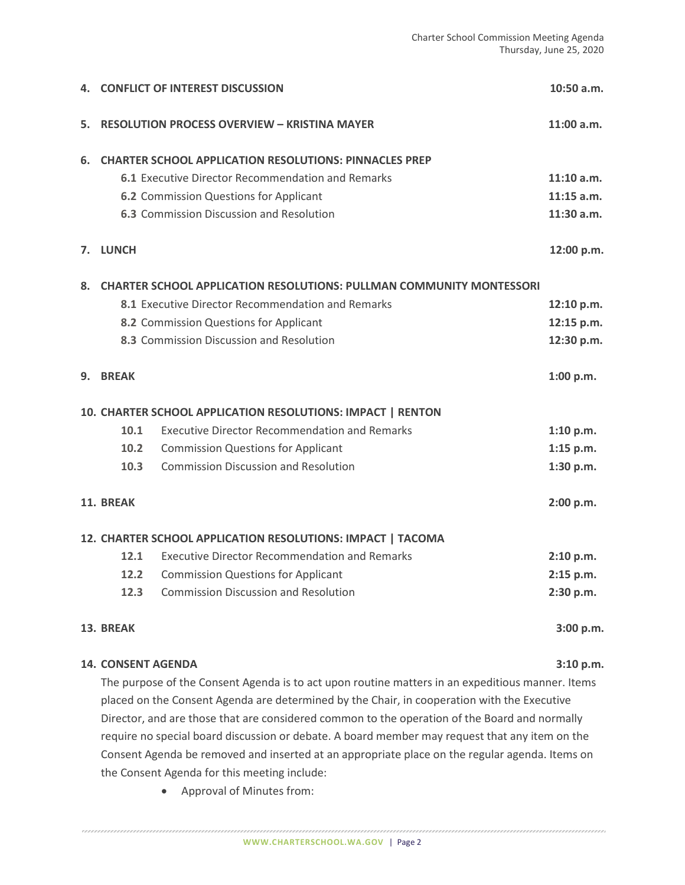|                                                             | 4. CONFLICT OF INTEREST DISCUSSION                                          |                                                      | $10:50$ a.m. |  |  |  |
|-------------------------------------------------------------|-----------------------------------------------------------------------------|------------------------------------------------------|--------------|--|--|--|
| 5.                                                          | <b>RESOLUTION PROCESS OVERVIEW - KRISTINA MAYER</b>                         |                                                      | $11:00$ a.m. |  |  |  |
| 6.                                                          | <b>CHARTER SCHOOL APPLICATION RESOLUTIONS: PINNACLES PREP</b>               |                                                      |              |  |  |  |
|                                                             |                                                                             | 6.1 Executive Director Recommendation and Remarks    | $11:10$ a.m. |  |  |  |
|                                                             |                                                                             | 6.2 Commission Questions for Applicant               | $11:15$ a.m. |  |  |  |
|                                                             |                                                                             | 6.3 Commission Discussion and Resolution             | 11:30 a.m.   |  |  |  |
|                                                             | 7. LUNCH                                                                    |                                                      |              |  |  |  |
| 8.                                                          | <b>CHARTER SCHOOL APPLICATION RESOLUTIONS: PULLMAN COMMUNITY MONTESSORI</b> |                                                      |              |  |  |  |
|                                                             |                                                                             | 8.1 Executive Director Recommendation and Remarks    | 12:10 p.m.   |  |  |  |
|                                                             |                                                                             | 8.2 Commission Questions for Applicant               | 12:15 p.m.   |  |  |  |
|                                                             |                                                                             | 8.3 Commission Discussion and Resolution             | 12:30 p.m.   |  |  |  |
| 9.                                                          | <b>BREAK</b>                                                                |                                                      | 1:00 p.m.    |  |  |  |
| 10. CHARTER SCHOOL APPLICATION RESOLUTIONS: IMPACT   RENTON |                                                                             |                                                      |              |  |  |  |
|                                                             | 10.1                                                                        | <b>Executive Director Recommendation and Remarks</b> | 1:10 p.m.    |  |  |  |
|                                                             | 10.2                                                                        | <b>Commission Questions for Applicant</b>            | 1:15 p.m.    |  |  |  |
|                                                             | 10.3                                                                        | <b>Commission Discussion and Resolution</b>          | 1:30 p.m.    |  |  |  |
|                                                             | 11. BREAK                                                                   |                                                      | 2:00 p.m.    |  |  |  |
| 12. CHARTER SCHOOL APPLICATION RESOLUTIONS: IMPACT   TACOMA |                                                                             |                                                      |              |  |  |  |
|                                                             | 12.1                                                                        | <b>Executive Director Recommendation and Remarks</b> | 2:10 p.m.    |  |  |  |
|                                                             |                                                                             | <b>12.2</b> Commission Questions for Applicant       | 2:15 p.m.    |  |  |  |
|                                                             | 12.3                                                                        | <b>Commission Discussion and Resolution</b>          | 2:30 p.m.    |  |  |  |
| 13. BREAK                                                   |                                                                             |                                                      |              |  |  |  |
| <b>14. CONSENT AGENDA</b>                                   |                                                                             |                                                      |              |  |  |  |

The purpose of the Consent Agenda is to act upon routine matters in an expeditious manner. Items placed on the Consent Agenda are determined by the Chair, in cooperation with the Executive Director, and are those that are considered common to the operation of the Board and normally require no special board discussion or debate. A board member may request that any item on the Consent Agenda be removed and inserted at an appropriate place on the regular agenda. Items on the Consent Agenda for this meeting include:

• Approval of Minutes from: